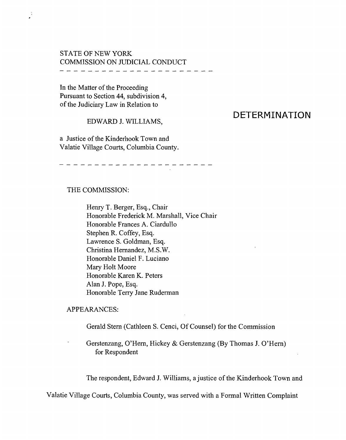#### STATE OF NEW YORK COMMISSION ON JUDICIAL CONDUCT ---------------------

In the Matter of the Proceeding Pursuant to Section 44, subdivision 4, of the Judiciary Law in Relation to

 $\ddot{\phantom{a}}$ 

EDWARD 1. WILLIAMS,

# a Justice of the Kinderhook Town and

## Valatie Village Courts, Columbia County.

-------------------

#### THE COMMISSION:

Henry T. Berger, Esq., Chair Honorable Frederick M. Marshall, Vice Chair Honorable Frances A. Ciardullo Stephen R. Coffey, Esq. Lawrence S. Goldman, Esq. Christina Hernandez, M.S.W. Honorable Daniel F. Luciano Mary Holt Moore Honorable Karen K. Peters Alan J. Pope, Esq. Honorable Terry Jane Ruderman

#### APPEARANCES:

Gerald Stem (Cathleen S. Cenci, Of Counsel) for the Commission

Gerstenzang, O'Hem, Hickey & Gerstenzang (By Thomas 1. O'Hem) for Respondent

The respondent, Edward J. Williams, a justice of the Kinderhook Town and

Valatie Village Courts, Columbia County, was served with a Formal Written Complaint

### **DETERMINATION**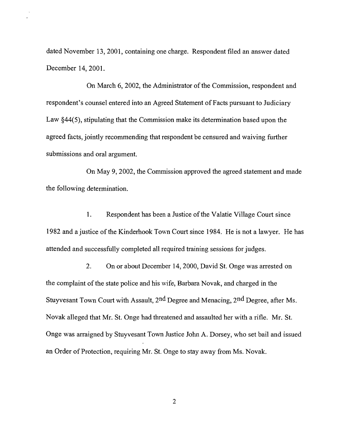dated November 13,2001, containing one charge. Respondent filed an answer dated December 14, 200l.

On March 6, 2002, the Administrator of the Commission, respondent and respondent's counsel entered into an Agreed Statement of Facts pursuant to Judiciary Law §44(5), stipulating that the Commission make its determination based upon the agreed facts, jointly recommending that respondent be censured and waiving further submissions and oral argument.

On May 9, 2002, the Commission approved the agreed statement and made the following determination.

1. Respondent has been a Justice of the Valatie Village Court since 1982 and a justice of the Kinderhook Town Court since 1984. He is not a lawyer. He has attended and successfully completed all required training sessions for judges.

2. On or about December 14,2000, David St. Onge was arrested on the complaint of the state police and his wife, Barbara Novak, and charged in the Stuyvesant Town Court with Assault, 2nd Degree and Menacing, 2nd Degree, after Ms. Novak alleged that Mr. St. Onge had threatened and assaulted her with a rifle. Mr. St. Onge was arraigned by Stuyvesant Town Justice John A. Dorsey, who set bail and issued an Order of Protection, requiring Mr. St. Onge to stay away from Ms. Novak.

2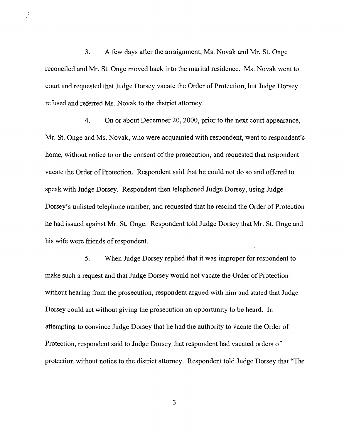3. A few days after the arraignment, Ms. Novak and Mr. St. Onge reconciled and Mr. St. Onge moved back into the marital residence. Ms. Novak went to court and requested that Judge Dorsey vacate the Order of Protection, but Judge Dorsey refused and referred Ms. Novak to the district attorney.

 $\frac{1}{2}$ 

4. On or about December 20, 2000, prior to the next court appearance, Mr. St. Onge and Ms. Novak, who were acquainted with respondent, went to respondent's home, without notice to or the consent of the prosecution, and requested that respondent vacate the Order of Protection. Respondent said that he could not do so and offered to speak with Judge Dorsey. Respondent then telephoned Judge Dorsey, using Judge Dorsey's unlisted telephone number, and requested that he rescind the Order of Protection he had issued against Mr. St. Onge. Respondent told Judge Dorsey that Mr. St. Onge and his wife were friends of respondent.

5. When Judge Dorsey replied that it was improper for respondent to make such a request and that Judge Dorsey would not vacate the Order of Protection without hearing from the prosecution, respondent argued with him and stated that Judge Dorsey could act without giving the prosecution an opportunity to be heard. In attempting to convince Judge Dorsey that he had the authority to vacate the Order of Protection, respondent said to Judge Dorsey that respondent had vacated orders of protection without notice to the district attorney. Respondent told Judge Dorsey that "The

3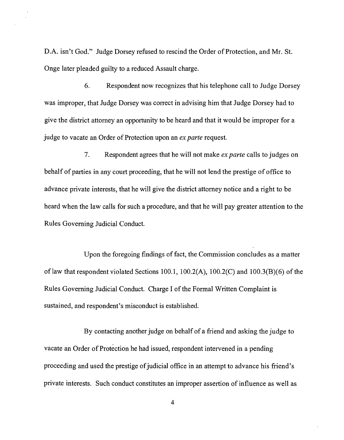D.A. isn't God." Judge Dorsey refused to rescind the Order of Protection, and Mr. St. Onge later pleaded guilty to a reduced Assault charge.

6. Respondent now recognizes that his telephone call to Judge Dorsey was improper, that Judge Dorsey was correct in advising him that Judge Dorsey had to give the district attorney an opportunity to be heard and that it would be improper for a judge to vacate an Order of Protection upon an *ex parte* request.

7. Respondent agrees that he will not make *ex parte* calls to judges on behalf of parties in any court proceeding, that he will not lend the prestige of office to advance private interests, that he will give the district attorney notice and a right to be heard when the law calls for such a procedure, and that he will pay greater attention to the Rules Governing Judicial Conduct.

Upon the foregoing findings of fact, the Commission concludes as a matter of law that respondent violated Sections 100.1, 100.2(A), 100.2(C) and 100.3(B)(6) of the Rules Governing Judicial Conduct. Charge I of the Formal Written Complaint is sustained, and respondent's misconduct is established.

By contacting another judge on behalf of a friend and asking the judge to vacate an Order of Protection he had issued, respondent intervened in a pending proceeding and used the prestige of judicial office in an attempt to advance his friend's private interests. Such conduct constitutes an improper assertion of influence as well as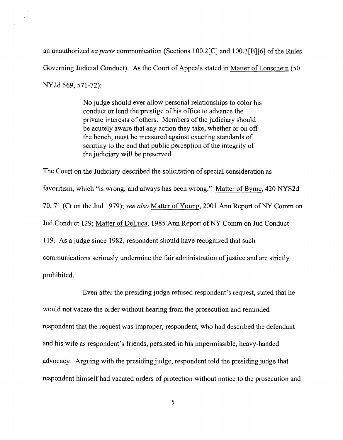an unauthorized *ex parte* communication (Sections 100.2[C] and 100.3[B][6] ofthe Rules Governing Judicial Conduct). As the Court of Appeals stated in Matter of Lonschein (50 NY2d 569,571-72):

> No judge should ever allow personal relationships to color his conduct or lend the prestige of his office to advance the private interests of others. Members of the judiciary should be acutely aware that any action they take, whether or on off the bench, must be measured against exacting standards of scrutiny to the end that public perception of the integrity of the judiciary will be preserved.

The Court on the Judiciary described the solicitation of special consideration as favoritism, which "is wrong, and always has been wrong." Matter of Byrne, 420 NYS2d 70, 71 (Ct on the Jud 1979); *see also* Matter ofYoung, 2001 Ann Report ofNY Comm on Jud Conduct 129; Matter of DeLuca, 1985 Ann Report of NY Comm on Jud Conduct 119. As a judge since 1982, respondent should have recognized that such communications seriously undermine the fair administration of justice and are strictly prohibited.

Even after the presiding judge refused respondent's request, stated that he would not vacate the order without hearing from the prosecution and reminded respondent that the request was improper, respondent, who had described the defendant and his wife as respondent's friends, persisted in his impermissible, heavy-handed advocacy. Arguing with the presiding judge, respondent told the presiding judge that respondent himself had vacated orders of protection without notice to the prosecution and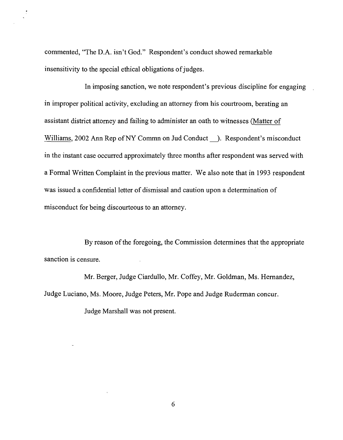commented, "The D.A. isn't God." Respondent's conduct showed remarkable insensitivity to the special ethical obligations of judges.

In imposing sanction, we note respondent's previous discipline for engaging in improper political activity, excluding an attorney from his courtroom, berating an assistant district attorney and failing to administer an oath to witnesses (Matter of Williams, 2002 Ann Rep of NY Commn on Jud Conduct ). Respondent's misconduct in the instant case occurred approximately three months after respondent was served with a Formal Written Complaint in the previous matter. We also note that in 1993 respondent was issued a confidential letter of dismissal and caution upon a determination of misconduct for being discourteous to an attorney.

By reason of the foregoing, the Commission determines that the appropriate sanction is censure.

Mr. Berger, Judge Ciardullo, Mr. Coffey, Mr. Goldman, Ms. Hernandez, Judge Luciano, Ms. Moore, Judge Peters, Mr. Pope and Judge Ruderman concur.

Judge Marshall was not present.